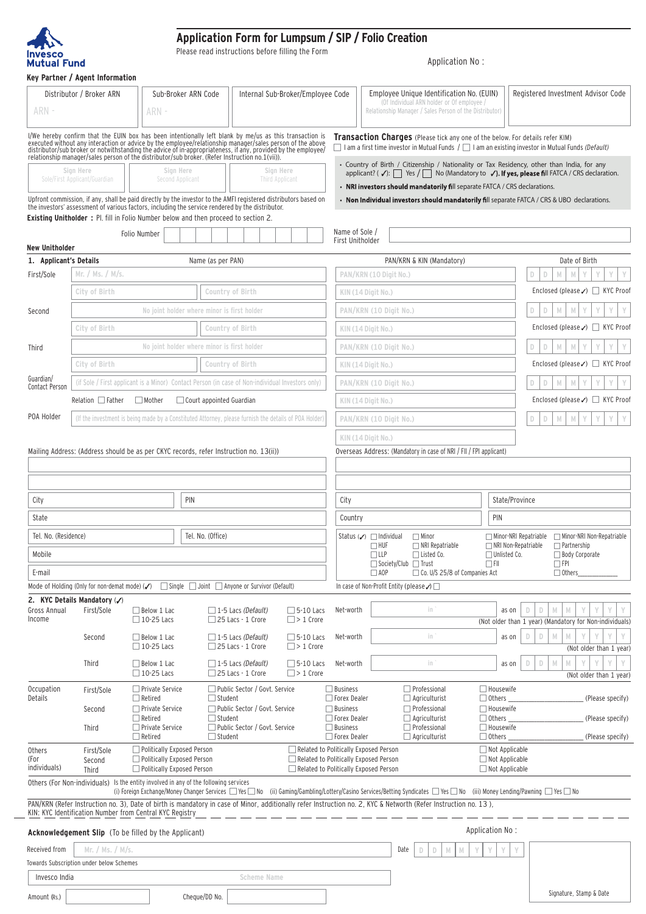

## **Application Form for Lumpsum / SIP / Folio Creation**

Please read instructions before filling the Form

Application No :

| ARN-                                            | Distributor / Broker ARN                                                             | ARN -                                                    | Sub-Broker ARN Code           |                                                                                                                                                                                                                                                                                                                                         | Internal Sub-Broker/Employee Code                                              | Employee Unique Identification No. (EUIN)<br>(Of Individual ARN holder or Of employee<br>Relationship Manager / Sales Person of the Distributor) |                                                       |      |                                                                               | Registered Investment Advisor Code |                                                     |                                                                                                                                                                                           |                  |  |
|-------------------------------------------------|--------------------------------------------------------------------------------------|----------------------------------------------------------|-------------------------------|-----------------------------------------------------------------------------------------------------------------------------------------------------------------------------------------------------------------------------------------------------------------------------------------------------------------------------------------|--------------------------------------------------------------------------------|--------------------------------------------------------------------------------------------------------------------------------------------------|-------------------------------------------------------|------|-------------------------------------------------------------------------------|------------------------------------|-----------------------------------------------------|-------------------------------------------------------------------------------------------------------------------------------------------------------------------------------------------|------------------|--|
|                                                 |                                                                                      |                                                          |                               | I/We hereby confirm that the EUIN box has been intentionally left blank by me/us as this transaction is<br>executed without any interaction or advice by the employee/relationship manager/sales person of the above<br>distributor/<br>relationship manager/sales person of the distributor/sub broker. (Refer Instruction no.1(vii)). |                                                                                |                                                                                                                                                  |                                                       |      | Transaction Charges (Please tick any one of the below. For details refer KIM) |                                    |                                                     | $\Box$ I am a first time investor in Mutual Funds $\Box$ I am an existing investor in Mutual Funds (Default)                                                                              |                  |  |
|                                                 | Sign Here<br>Sole/First Applicant/Guardian                                           |                                                          | Sign Here<br>Second Applicant |                                                                                                                                                                                                                                                                                                                                         | Sign Here<br><b>Third Applicant</b>                                            |                                                                                                                                                  |                                                       |      | • NRI investors should mandatorily fill separate FATCA / CRS declarations.    |                                    |                                                     | • Country of Birth / Citizenship / Nationality or Tax Residency, other than India, for any<br>applicant? (√): Ses / Ses Mo (Mandatory to √). If yes, please fill FATCA / CRS declaration. |                  |  |
|                                                 |                                                                                      |                                                          |                               | Upfront commission, if any, shall be paid directly by the investor to the AMFI registered distributors based on<br>the investors' assessment of various factors, including the service rendered by the distributor.                                                                                                                     |                                                                                |                                                                                                                                                  |                                                       |      |                                                                               |                                    |                                                     | • Non Individual investors should mandatorily fill separate FATCA / CRS & UBO declarations.                                                                                               |                  |  |
|                                                 |                                                                                      |                                                          |                               | <b>Existing Unitholder</b> : Pl. fill in Folio Number below and then proceed to section 2.                                                                                                                                                                                                                                              |                                                                                |                                                                                                                                                  |                                                       |      |                                                                               |                                    |                                                     |                                                                                                                                                                                           |                  |  |
|                                                 |                                                                                      | Folio Number                                             |                               |                                                                                                                                                                                                                                                                                                                                         |                                                                                | Name of Sole /<br>First Unitholder                                                                                                               |                                                       |      |                                                                               |                                    |                                                     |                                                                                                                                                                                           |                  |  |
| <b>New Unitholder</b><br>1. Applicant's Details |                                                                                      |                                                          |                               | Name (as per PAN)                                                                                                                                                                                                                                                                                                                       |                                                                                |                                                                                                                                                  |                                                       |      | PAN/KRN & KIN (Mandatory)                                                     |                                    |                                                     | Date of Birth                                                                                                                                                                             |                  |  |
| First/Sole                                      | Mr. / Ms. / M/s.                                                                     |                                                          |                               |                                                                                                                                                                                                                                                                                                                                         |                                                                                |                                                                                                                                                  | PAN/KRN (10 Digit No.)                                |      |                                                                               |                                    |                                                     | $\mathbb N$<br>D<br>M<br>Y<br>D                                                                                                                                                           |                  |  |
|                                                 | City of Birth                                                                        |                                                          |                               | Country of Birth                                                                                                                                                                                                                                                                                                                        |                                                                                |                                                                                                                                                  | KIN (14 Digit No.)                                    |      |                                                                               |                                    |                                                     | Enclosed (please $\checkmark$ ) $\Box$ KYC Proof                                                                                                                                          |                  |  |
| Second                                          |                                                                                      |                                                          |                               | No joint holder where minor is first holder                                                                                                                                                                                                                                                                                             |                                                                                |                                                                                                                                                  | PAN/KRN (10 Digit No.)                                |      |                                                                               |                                    |                                                     | M<br>D<br>M<br>D.                                                                                                                                                                         |                  |  |
|                                                 | City of Birth                                                                        |                                                          |                               | Country of Birth                                                                                                                                                                                                                                                                                                                        |                                                                                |                                                                                                                                                  |                                                       |      |                                                                               |                                    |                                                     |                                                                                                                                                                                           |                  |  |
|                                                 |                                                                                      |                                                          |                               |                                                                                                                                                                                                                                                                                                                                         |                                                                                |                                                                                                                                                  | KIN (14 Digit No.)                                    |      |                                                                               |                                    |                                                     | Enclosed (please $\checkmark$ ) $\Box$ KYC Proof                                                                                                                                          |                  |  |
| Third                                           |                                                                                      |                                                          |                               | No joint holder where minor is first holder                                                                                                                                                                                                                                                                                             |                                                                                |                                                                                                                                                  | PAN/KRN (10 Digit No.)                                |      |                                                                               |                                    |                                                     | D<br>D.<br>M<br>M                                                                                                                                                                         |                  |  |
| Guardian/                                       | City of Birth                                                                        |                                                          |                               | Country of Birth                                                                                                                                                                                                                                                                                                                        |                                                                                |                                                                                                                                                  | KIN (14 Digit No.)                                    |      |                                                                               |                                    |                                                     | Enclosed (please $\checkmark$ ) $\Box$ KYC Proof                                                                                                                                          |                  |  |
| Contact Person                                  |                                                                                      |                                                          |                               | (if Sole / First applicant is a Minor) Contact Person (in case of Non-individual Investors only)                                                                                                                                                                                                                                        |                                                                                |                                                                                                                                                  | PAN/KRN (10 Digit No.)                                |      |                                                                               |                                    |                                                     | M<br>D<br>M<br>D                                                                                                                                                                          |                  |  |
|                                                 | $Relation$ Father                                                                    | $\Box$ Mother                                            |                               | $\Box$ Court appointed Guardian                                                                                                                                                                                                                                                                                                         |                                                                                |                                                                                                                                                  | KIN (14 Digit No.)                                    |      |                                                                               |                                    |                                                     | Enclosed (please $\checkmark$ ) $\Box$ KYC Proof                                                                                                                                          |                  |  |
| POA Holder                                      |                                                                                      |                                                          |                               | (If the investment is being made by a Constituted Attorney, please furnish the details of POA Holder)                                                                                                                                                                                                                                   |                                                                                |                                                                                                                                                  | PAN/KRN (10 Digit No.)                                |      |                                                                               |                                    |                                                     | $\mathbb M$<br>M<br>D<br>D                                                                                                                                                                |                  |  |
|                                                 |                                                                                      |                                                          |                               |                                                                                                                                                                                                                                                                                                                                         |                                                                                |                                                                                                                                                  | KIN (14 Digit No.)                                    |      |                                                                               |                                    |                                                     |                                                                                                                                                                                           |                  |  |
|                                                 |                                                                                      |                                                          |                               | Mailing Address: (Address should be as per CKYC records, refer Instruction no. 13(ii))                                                                                                                                                                                                                                                  |                                                                                |                                                                                                                                                  |                                                       |      | Overseas Address: (Mandatory in case of NRI / FII / FPI applicant)            |                                    |                                                     |                                                                                                                                                                                           |                  |  |
|                                                 |                                                                                      |                                                          |                               |                                                                                                                                                                                                                                                                                                                                         |                                                                                |                                                                                                                                                  |                                                       |      |                                                                               |                                    |                                                     |                                                                                                                                                                                           |                  |  |
|                                                 |                                                                                      |                                                          |                               |                                                                                                                                                                                                                                                                                                                                         |                                                                                |                                                                                                                                                  |                                                       |      |                                                                               |                                    |                                                     |                                                                                                                                                                                           |                  |  |
| City                                            |                                                                                      |                                                          | PIN                           |                                                                                                                                                                                                                                                                                                                                         |                                                                                | City                                                                                                                                             |                                                       |      |                                                                               |                                    | State/Province                                      |                                                                                                                                                                                           |                  |  |
| State                                           |                                                                                      |                                                          |                               |                                                                                                                                                                                                                                                                                                                                         |                                                                                | Country                                                                                                                                          |                                                       |      |                                                                               |                                    | PIN                                                 |                                                                                                                                                                                           |                  |  |
| Tel. No. (Residence)                            |                                                                                      |                                                          | Tel. No. (Office)             |                                                                                                                                                                                                                                                                                                                                         |                                                                                |                                                                                                                                                  | Status $(\checkmark)$ $\Box$ Individual<br>$\Box$ HUF |      | $\Box$ Minor<br>$\Box$ NRI Repatriable                                        |                                    | Minor-NRI Repatriable<br>$\Box$ NRI Non-Repatriable | Minor-NRI Non-Repatriable<br>$\Box$ Partnership                                                                                                                                           |                  |  |
| Mobile                                          |                                                                                      |                                                          |                               |                                                                                                                                                                                                                                                                                                                                         |                                                                                |                                                                                                                                                  | $\Box$ LLP                                            |      | $\Box$ Listed Co.<br>$\Box$ Society/Club $\Box$ Trust                         |                                    | $\Box$ Unlisted Co.<br>$\Box$ FII                   | □ Body Corporate<br>$\Box$ FPI                                                                                                                                                            |                  |  |
| E-mail                                          |                                                                                      |                                                          |                               |                                                                                                                                                                                                                                                                                                                                         |                                                                                |                                                                                                                                                  | $\square$ AOP                                         |      | $\Box$ Co. U/S 25/8 of Companies Act                                          |                                    |                                                     | $\Box$ Others                                                                                                                                                                             |                  |  |
|                                                 |                                                                                      |                                                          |                               | Mode of Holding (Only for non-demat mode) ( $\checkmark$ ) Single Joint Anyone or Survivor (Default)                                                                                                                                                                                                                                    |                                                                                |                                                                                                                                                  | In case of Non-Profit Entity (please √) □             |      |                                                                               |                                    |                                                     |                                                                                                                                                                                           |                  |  |
| Gross Annual<br>Income                          | 2. KYC Details Mandatory $(\checkmark)$<br>First/Sole                                | $\Box$ Below 1 Lac<br>$\Box$ 10-25 Lacs                  |                               | $\Box$ 1-5 Lacs (Default)<br>$\Box$ 25 Lacs - 1 Crore                                                                                                                                                                                                                                                                                   | $\Box$ 5-10 Lacs<br>$\Box$ > 1 Crore                                           | Net-worth                                                                                                                                        |                                                       |      | in.                                                                           |                                    | as on                                               | D<br>M<br>Ð<br>(Not older than 1 year) (Mandatory for Non-individuals)                                                                                                                    |                  |  |
|                                                 | Second                                                                               | $\Box$ Below 1 Lac<br>$\Box$ 10-25 Lacs                  |                               | $\Box$ 1-5 Lacs (Default)<br>$\Box$ 25 Lacs - 1 Crore                                                                                                                                                                                                                                                                                   | $\Box$ 5-10 Lacs<br>$\Box$ > 1 Crore                                           | Net-worth                                                                                                                                        |                                                       |      | in                                                                            |                                    | as on                                               | M<br>D<br>D<br>M<br>(Not older than 1 year)                                                                                                                                               |                  |  |
|                                                 | Third                                                                                | $\Box$ Below 1 Lac<br>$\Box$ 10-25 Lacs                  |                               | $\Box$ 1-5 Lacs (Default)<br>$\Box$ 25 Lacs - 1 Crore                                                                                                                                                                                                                                                                                   | $\Box$ 5-10 Lacs<br>$\Box$ > 1 Crore                                           | Net-worth                                                                                                                                        |                                                       |      | in                                                                            |                                    | as on                                               | $\mathbb N$<br>D<br>D<br>M<br>(Not older than 1 year)                                                                                                                                     |                  |  |
| Occupation<br>Details                           | First/Sole                                                                           | $\Box$ Private Service<br>$\Box$ Retired                 |                               | Public Sector / Govt. Service<br>$\Box$ Student                                                                                                                                                                                                                                                                                         |                                                                                | $\Box$ Business<br>Forex Dealer                                                                                                                  |                                                       |      | $\Box$ Professional<br>$\Box$ Agriculturist                                   |                                    | $\Box$ Housewife<br>$\Box$ Others                   |                                                                                                                                                                                           | (Please specify) |  |
|                                                 | Second                                                                               | □ Private Service                                        |                               | Public Sector / Govt. Service                                                                                                                                                                                                                                                                                                           |                                                                                | $\Box$ Business                                                                                                                                  |                                                       |      | $\Box$ Professional                                                           |                                    | $\Box$ Housewife                                    |                                                                                                                                                                                           |                  |  |
|                                                 | Third                                                                                | $\Box$ Retired<br>Private Service                        |                               | $\Box$ Student<br>□ Public Sector / Govt. Service                                                                                                                                                                                                                                                                                       |                                                                                | □ Forex Dealer<br>$\Box$ Business                                                                                                                |                                                       |      | $\Box$ Agriculturist<br>$\Box$ Professional                                   |                                    | $\Box$ Others<br>$\Box$ Housewife                   |                                                                                                                                                                                           | (Please specify) |  |
| Others                                          | First/Sole                                                                           | $\Box$ Retired<br>Politically Exposed Person             |                               | $\Box$ Student                                                                                                                                                                                                                                                                                                                          | Related to Politically Exposed Person                                          | □ Forex Dealer                                                                                                                                   |                                                       |      | $\Box$ Agriculturist                                                          |                                    | $\Box$ Others<br>$\Box$ Not Applicable              |                                                                                                                                                                                           | (Please specify) |  |
| (For<br>individuals)                            | Second<br><b>Third</b>                                                               | Politically Exposed Person<br>Politically Exposed Person |                               |                                                                                                                                                                                                                                                                                                                                         | Related to Politically Exposed Person<br>Related to Politically Exposed Person |                                                                                                                                                  |                                                       |      |                                                                               |                                    | $\Box$ Not Applicable<br>$\Box$ Not Applicable      |                                                                                                                                                                                           |                  |  |
|                                                 | Others (For Non-individuals) Is the entity involved in any of the following services |                                                          |                               | (i) Foreign Exchange/Money Changer Services □ Yes □ No (ii) Gaming/Gambling/Lottery/Casino Services/Betting Syndicates □ Yes □ No (iii) Money Lending/Pawning □ Yes □ No                                                                                                                                                                |                                                                                |                                                                                                                                                  |                                                       |      |                                                                               |                                    |                                                     |                                                                                                                                                                                           |                  |  |
|                                                 | KIN: KYC Identification Number from Central KYC Registry                             |                                                          |                               | PAN/KRN (Refer Instruction no. 3), Date of birth is mandatory in case of Minor, additionally refer Instruction no. 2, KYC & Networth (Refer Instruction no. 13),                                                                                                                                                                        |                                                                                |                                                                                                                                                  |                                                       |      |                                                                               |                                    |                                                     |                                                                                                                                                                                           |                  |  |
|                                                 | <b>Acknowledgement Slip</b> (To be filled by the Applicant)                          |                                                          |                               |                                                                                                                                                                                                                                                                                                                                         |                                                                                |                                                                                                                                                  |                                                       |      |                                                                               |                                    | Application No:                                     |                                                                                                                                                                                           |                  |  |
| Received from                                   | Mr. / Ms. / M/s.                                                                     |                                                          |                               |                                                                                                                                                                                                                                                                                                                                         |                                                                                |                                                                                                                                                  |                                                       | Date | D<br>D                                                                        |                                    |                                                     |                                                                                                                                                                                           |                  |  |
|                                                 | Towards Subscription under below Schemes                                             |                                                          |                               |                                                                                                                                                                                                                                                                                                                                         |                                                                                |                                                                                                                                                  |                                                       |      |                                                                               |                                    |                                                     |                                                                                                                                                                                           |                  |  |
| Invesco India                                   |                                                                                      |                                                          |                               | <b>Scheme Name</b>                                                                                                                                                                                                                                                                                                                      |                                                                                |                                                                                                                                                  |                                                       |      |                                                                               |                                    |                                                     |                                                                                                                                                                                           |                  |  |
| Amount (Rs.)                                    |                                                                                      |                                                          | Cheque/DD No.                 |                                                                                                                                                                                                                                                                                                                                         |                                                                                |                                                                                                                                                  |                                                       |      |                                                                               |                                    |                                                     | Signature, Stamp & Date                                                                                                                                                                   |                  |  |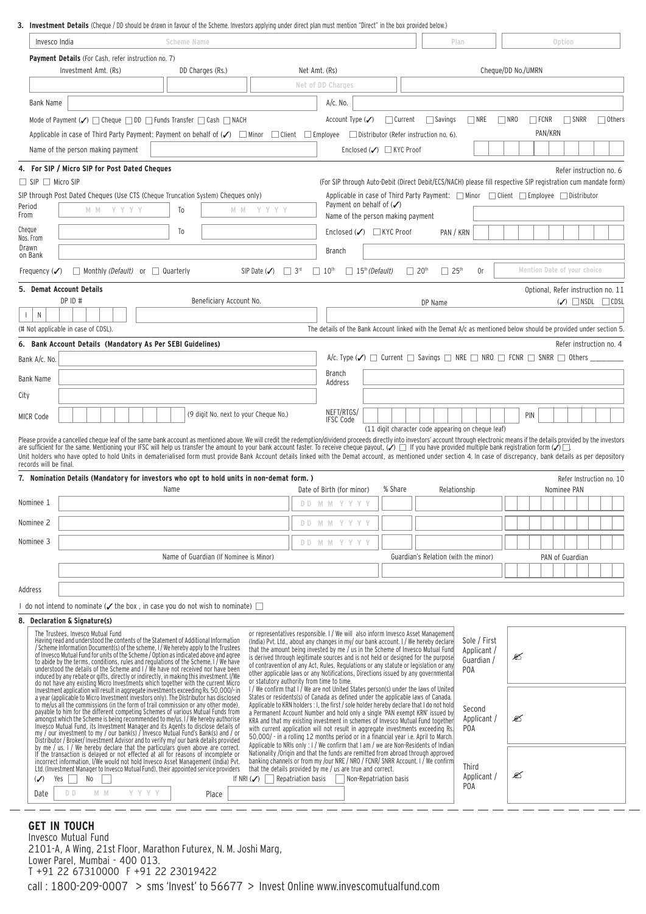**3. Investment Details** (Cheque / DD should be drawn in favour of the Scheme. Investors applying under direct plan must mention "Direct" in the box provided below.)

|                                                                                                                                                                                                                                                                                      | Invesco India                                                                                                                                                                                                                                                                                                                                                                                                                                                    | <b>Scheme Name</b>                     |                                                                                |                                                                                                                                                                                                                      |                | Plan                                               |                             |            |                    | Option  |                             |                                        |
|--------------------------------------------------------------------------------------------------------------------------------------------------------------------------------------------------------------------------------------------------------------------------------------|------------------------------------------------------------------------------------------------------------------------------------------------------------------------------------------------------------------------------------------------------------------------------------------------------------------------------------------------------------------------------------------------------------------------------------------------------------------|----------------------------------------|--------------------------------------------------------------------------------|----------------------------------------------------------------------------------------------------------------------------------------------------------------------------------------------------------------------|----------------|----------------------------------------------------|-----------------------------|------------|--------------------|---------|-----------------------------|----------------------------------------|
|                                                                                                                                                                                                                                                                                      | <b>Payment Details</b> (For Cash, refer instruction no. 7)                                                                                                                                                                                                                                                                                                                                                                                                       |                                        |                                                                                |                                                                                                                                                                                                                      |                |                                                    |                             |            |                    |         |                             |                                        |
|                                                                                                                                                                                                                                                                                      | Investment Amt. (Rs)                                                                                                                                                                                                                                                                                                                                                                                                                                             | DD Charges (Rs.)                       |                                                                                | Net Amt. (Rs)                                                                                                                                                                                                        |                |                                                    |                             |            | Cheque/DD No./UMRN |         |                             |                                        |
|                                                                                                                                                                                                                                                                                      |                                                                                                                                                                                                                                                                                                                                                                                                                                                                  |                                        |                                                                                | Net of DD Charges                                                                                                                                                                                                    |                |                                                    |                             |            |                    |         |                             |                                        |
| Bank Name                                                                                                                                                                                                                                                                            |                                                                                                                                                                                                                                                                                                                                                                                                                                                                  |                                        |                                                                                | $A/c.$ No.                                                                                                                                                                                                           |                |                                                    |                             |            |                    |         |                             |                                        |
|                                                                                                                                                                                                                                                                                      | Mode of Payment $(\checkmark)$ $\Box$ Cheque $\Box$ DD $\Box$ Funds Transfer $\Box$ Cash $\Box$ NACH                                                                                                                                                                                                                                                                                                                                                             |                                        |                                                                                | Account Type $(\checkmark)$                                                                                                                                                                                          | $\Box$ Current | $\Box$ Savings                                     | $\Box$ NRE                  | $\Box$ NRO | $\Box$ FCNR        |         | $\Box$ SNRR                 | $\Box$ Others                          |
|                                                                                                                                                                                                                                                                                      | Applicable in case of Third Party Payment: Payment on behalf of $\mathcal{S}$ $\Box$ Minor $\Box$ Client $\Box$ Employee                                                                                                                                                                                                                                                                                                                                         |                                        |                                                                                |                                                                                                                                                                                                                      |                | $\Box$ Distributor (Refer instruction no. 6).      |                             |            |                    | PAN/KRN |                             |                                        |
|                                                                                                                                                                                                                                                                                      | Name of the person making payment                                                                                                                                                                                                                                                                                                                                                                                                                                |                                        |                                                                                | Enclosed (√) KYC Proof                                                                                                                                                                                               |                |                                                    |                             |            |                    |         |                             |                                        |
|                                                                                                                                                                                                                                                                                      | 4. For SIP / Micro SIP for Post Dated Cheques                                                                                                                                                                                                                                                                                                                                                                                                                    |                                        |                                                                                |                                                                                                                                                                                                                      |                |                                                    |                             |            |                    |         |                             | Refer instruction no. 6                |
| $\Box$ SIP $\Box$ Micro SIP                                                                                                                                                                                                                                                          |                                                                                                                                                                                                                                                                                                                                                                                                                                                                  |                                        |                                                                                | (For SIP through Auto-Debit (Direct Debit/ECS/NACH) please fill respective SIP registration cum mandate form)                                                                                                        |                |                                                    |                             |            |                    |         |                             |                                        |
| Period                                                                                                                                                                                                                                                                               | SIP through Post Dated Cheques (Use CTS (Cheque Truncation System) Cheques only)<br>M M Y Y Y Y                                                                                                                                                                                                                                                                                                                                                                  | M M<br>To                              | y y y y                                                                        | Applicable in case of Third Party Payment: $\Box$ Minor $\Box$ Client $\Box$ Employee $\Box$ Distributor<br>Payment on behalf of $(\checkmark)$                                                                      |                |                                                    |                             |            |                    |         |                             |                                        |
| From                                                                                                                                                                                                                                                                                 |                                                                                                                                                                                                                                                                                                                                                                                                                                                                  |                                        |                                                                                | Name of the person making payment                                                                                                                                                                                    |                |                                                    |                             |            |                    |         |                             |                                        |
| Cheque<br>Nos. From                                                                                                                                                                                                                                                                  |                                                                                                                                                                                                                                                                                                                                                                                                                                                                  | To                                     |                                                                                | Enclosed $(\checkmark)$ $\Box$ KYC Proof                                                                                                                                                                             |                | PAN / KRN                                          |                             |            |                    |         |                             |                                        |
| Drawn<br>on Bank                                                                                                                                                                                                                                                                     |                                                                                                                                                                                                                                                                                                                                                                                                                                                                  |                                        |                                                                                | Branch                                                                                                                                                                                                               |                |                                                    |                             |            |                    |         |                             |                                        |
| Frequency $(\checkmark)$                                                                                                                                                                                                                                                             | $\Box$ Monthly (Default) or $\Box$ Quarterly                                                                                                                                                                                                                                                                                                                                                                                                                     |                                        | $\Box$ 3 <sup>rd</sup><br>$SIP$ Date $(\checkmark)$                            | $\Box$ 15 <sup>th</sup> (Default)<br>$\Box$ 10 <sup>th</sup>                                                                                                                                                         |                | $\Box$ 20 <sup>th</sup><br>$\Box$ 25 <sup>th</sup> | 0r                          |            |                    |         | Mention Date of your choice |                                        |
|                                                                                                                                                                                                                                                                                      | 5. Demat Account Details                                                                                                                                                                                                                                                                                                                                                                                                                                         |                                        |                                                                                |                                                                                                                                                                                                                      |                |                                                    |                             |            |                    |         |                             | Optional, Refer instruction no. 11     |
|                                                                                                                                                                                                                                                                                      | DP ID #                                                                                                                                                                                                                                                                                                                                                                                                                                                          | Beneficiary Account No.                |                                                                                |                                                                                                                                                                                                                      |                | DP Name                                            |                             |            |                    |         |                             | $(\checkmark)$ $\Box$ NSDL $\Box$ CDSL |
| $\mathsf{N}$                                                                                                                                                                                                                                                                         | (# Not applicable in case of CDSL).                                                                                                                                                                                                                                                                                                                                                                                                                              |                                        |                                                                                | The details of the Bank Account linked with the Demat $A/c$ as mentioned below should be provided under section 5.                                                                                                   |                |                                                    |                             |            |                    |         |                             |                                        |
|                                                                                                                                                                                                                                                                                      | 6. Bank Account Details (Mandatory As Per SEBI Guidelines)                                                                                                                                                                                                                                                                                                                                                                                                       |                                        |                                                                                |                                                                                                                                                                                                                      |                |                                                    |                             |            |                    |         |                             | Refer instruction no. 4                |
| Bank A/c. No.                                                                                                                                                                                                                                                                        |                                                                                                                                                                                                                                                                                                                                                                                                                                                                  |                                        |                                                                                | A/c. Type $(\checkmark)$ $\Box$ Current $\Box$ Savings $\Box$ NRE $\Box$ NRO $\Box$ FCNR $\Box$ SNRR $\Box$ Others                                                                                                   |                |                                                    |                             |            |                    |         |                             |                                        |
| Bank Name                                                                                                                                                                                                                                                                            |                                                                                                                                                                                                                                                                                                                                                                                                                                                                  |                                        |                                                                                | <b>Branch</b>                                                                                                                                                                                                        |                |                                                    |                             |            |                    |         |                             |                                        |
| City                                                                                                                                                                                                                                                                                 |                                                                                                                                                                                                                                                                                                                                                                                                                                                                  |                                        |                                                                                | Address                                                                                                                                                                                                              |                |                                                    |                             |            |                    |         |                             |                                        |
|                                                                                                                                                                                                                                                                                      |                                                                                                                                                                                                                                                                                                                                                                                                                                                                  |                                        |                                                                                |                                                                                                                                                                                                                      |                |                                                    |                             |            |                    |         |                             |                                        |
| <b>MICR Code</b>                                                                                                                                                                                                                                                                     |                                                                                                                                                                                                                                                                                                                                                                                                                                                                  |                                        | NEFT/RTGS/<br>(9 digit No. next to your Cheque No.)<br>PIN<br><b>IFSC Code</b> |                                                                                                                                                                                                                      |                |                                                    |                             |            |                    |         |                             |                                        |
| (11 digit character code appearing on cheque leaf)<br>Please provide a cancelled cheque leaf of the same bank account as mentioned above. We will credit the redemption/dividend proceeds directly into investors' account through electronic means if the details provided by the i |                                                                                                                                                                                                                                                                                                                                                                                                                                                                  |                                        |                                                                                |                                                                                                                                                                                                                      |                |                                                    |                             |            |                    |         |                             |                                        |
|                                                                                                                                                                                                                                                                                      |                                                                                                                                                                                                                                                                                                                                                                                                                                                                  |                                        |                                                                                |                                                                                                                                                                                                                      |                |                                                    |                             |            |                    |         |                             |                                        |
|                                                                                                                                                                                                                                                                                      | are sufficient for the same. Mentioning your IFSC will help us transfer the amount to your bank account faster. To receive cheque payout, $(\checkmark) \Box$ If you have provided multiple bank registration form $(\checkmark) \Box$<br>Unit holders who have opted to hold Units in dematerialised form must provide Bank Account details linked with the Demat account, as mentioned under section 4. In case of discrepancy, bank details as per depository |                                        |                                                                                |                                                                                                                                                                                                                      |                |                                                    |                             |            |                    |         |                             |                                        |
|                                                                                                                                                                                                                                                                                      |                                                                                                                                                                                                                                                                                                                                                                                                                                                                  |                                        |                                                                                |                                                                                                                                                                                                                      |                |                                                    |                             |            |                    |         |                             |                                        |
| records will be final.                                                                                                                                                                                                                                                               | 7. Nomination Details (Mandatory for investors who opt to hold units in non-demat form. )                                                                                                                                                                                                                                                                                                                                                                        | Name                                   |                                                                                | Date of Birth (for minor)                                                                                                                                                                                            | % Share        | Relationship                                       |                             |            |                    |         | Nominee PAN                 | Refer Instruction no. 10               |
| Nominee 1                                                                                                                                                                                                                                                                            |                                                                                                                                                                                                                                                                                                                                                                                                                                                                  |                                        |                                                                                | DD M M Y Y Y Y                                                                                                                                                                                                       |                |                                                    |                             |            |                    |         |                             |                                        |
| Nominee 2                                                                                                                                                                                                                                                                            |                                                                                                                                                                                                                                                                                                                                                                                                                                                                  |                                        |                                                                                | DD M M Y Y Y Y                                                                                                                                                                                                       |                |                                                    |                             |            |                    |         |                             |                                        |
|                                                                                                                                                                                                                                                                                      |                                                                                                                                                                                                                                                                                                                                                                                                                                                                  |                                        |                                                                                |                                                                                                                                                                                                                      |                |                                                    |                             |            |                    |         |                             |                                        |
|                                                                                                                                                                                                                                                                                      |                                                                                                                                                                                                                                                                                                                                                                                                                                                                  | Name of Guardian (If Nominee is Minor) |                                                                                | DD M M Y Y Y Y                                                                                                                                                                                                       |                |                                                    |                             |            |                    |         | PAN of Guardian             |                                        |
| Nominee 3                                                                                                                                                                                                                                                                            |                                                                                                                                                                                                                                                                                                                                                                                                                                                                  |                                        |                                                                                |                                                                                                                                                                                                                      |                | Guardian's Relation (with the minor)               |                             |            |                    |         |                             |                                        |
|                                                                                                                                                                                                                                                                                      |                                                                                                                                                                                                                                                                                                                                                                                                                                                                  |                                        |                                                                                |                                                                                                                                                                                                                      |                |                                                    |                             |            |                    |         |                             |                                        |
| Address                                                                                                                                                                                                                                                                              |                                                                                                                                                                                                                                                                                                                                                                                                                                                                  |                                        |                                                                                |                                                                                                                                                                                                                      |                |                                                    |                             |            |                    |         |                             |                                        |
|                                                                                                                                                                                                                                                                                      | I do not intend to nominate ( $\checkmark$ the box , in case you do not wish to nominate) $\Box$                                                                                                                                                                                                                                                                                                                                                                 |                                        |                                                                                |                                                                                                                                                                                                                      |                |                                                    |                             |            |                    |         |                             |                                        |
|                                                                                                                                                                                                                                                                                      | <b>Declaration &amp; Signature(s)</b><br>The Trustees, Invesco Mutual Fund                                                                                                                                                                                                                                                                                                                                                                                       |                                        |                                                                                | or representatives responsible. I / We will also inform Invesco Asset Management                                                                                                                                     |                |                                                    |                             |            |                    |         |                             |                                        |
|                                                                                                                                                                                                                                                                                      |                                                                                                                                                                                                                                                                                                                                                                                                                                                                  |                                        |                                                                                | (India) Pvt. Ltd., about any changes in my/ our bank account. I/ We hereby declare<br>that the amount being invested by me / us in the Scheme of Invesco Mutual Fund                                                 |                |                                                    | Sole / First<br>Applicant / |            |                    |         |                             |                                        |
|                                                                                                                                                                                                                                                                                      |                                                                                                                                                                                                                                                                                                                                                                                                                                                                  |                                        |                                                                                | is derived through legitimate sources and is not held or designed for the purpose<br>of contravention of any Act, Rules, Regulations or any statute or legislation or any                                            |                |                                                    | Guardian /                  | ∕≤         |                    |         |                             |                                        |
|                                                                                                                                                                                                                                                                                      | Having read and understood the contents of the Statement of Additional Information / Scheme Information Document(s) of the scheme, I / We hereby apply to the Trustees of Invesco Mutual Fund for units of the Scheme / Option                                                                                                                                                                                                                                   |                                        |                                                                                | other applicable laws or any Notifications, Directions issued by any governmental                                                                                                                                    |                |                                                    | POA                         |            |                    |         |                             |                                        |
|                                                                                                                                                                                                                                                                                      |                                                                                                                                                                                                                                                                                                                                                                                                                                                                  |                                        |                                                                                | or statutory authority from time to time.<br>I / We confirm that I / We are not United States person(s) under the laws of United<br>States or residents(s) of Canada as defined under the applicable laws of Canada. |                |                                                    |                             |            |                    |         |                             |                                        |
|                                                                                                                                                                                                                                                                                      | induced by any rebate or gifts, directly or indirectly, in making this investment. I/We<br>do not have any existing Micro Investments which together with the current Micro<br>do not have any existing Micro Investments which toge<br>payable to him for the different competing Schemes of various Mutual Funds from                                                                                                                                          |                                        |                                                                                | Applicable to KRN holders : I, the first / sole holder hereby declare that I do not hold<br>a Permanent Account Number and hold only a single 'PAN exempt KRN' issued by                                             |                |                                                    | Second                      |            |                    |         |                             |                                        |
|                                                                                                                                                                                                                                                                                      |                                                                                                                                                                                                                                                                                                                                                                                                                                                                  |                                        |                                                                                | KRA and that my existing investment in schemes of Invesco Mutual Fund together<br>with current application will not result in aggregate investments exceeding Rs.                                                    |                |                                                    | Applicant /<br>POA          | ∕≤         |                    |         |                             |                                        |
|                                                                                                                                                                                                                                                                                      | amongst which the Scheme is being recommended to me/us. I/We hereby authorise<br>Invesco Mutual Fund, its Investment Manager and its Agents to disclose details of<br>my / our investment to my / our bank(s) / Invesco Mutual Fund'                                                                                                                                                                                                                             |                                        |                                                                                | 50,000/ - in a rolling 12 months period or in a financial year i.e. April to March.<br>Applicable to NRIs only : I / We confirm that I am / we are Non-Residents of Indian                                           |                |                                                    |                             |            |                    |         |                             |                                        |
|                                                                                                                                                                                                                                                                                      | hy Your Investment Advisor and to verify my/our bank details provided<br>by me / us. 1/ We hereby declare that the particulars given above are correct.<br>If the transaction is delayed or not effected at all for reasons of incom                                                                                                                                                                                                                             |                                        |                                                                                | Nationality /Origin and that the funds are remitted from abroad through approved<br>banking channels or from my /our NRE / NRO / FCNR/ SNRR Account. I / We confirm                                                  |                |                                                    |                             |            |                    |         |                             |                                        |
| $(\checkmark)$                                                                                                                                                                                                                                                                       | Ltd. (Investment Manager to Invesco Mutual Fund), their appointed service providers<br>Yes<br>No                                                                                                                                                                                                                                                                                                                                                                 |                                        | If NRI $(\checkmark)$                                                          | that the details provided by me / us are true and correct.<br>Repatriation basis<br>Non-Repatriation basis                                                                                                           |                |                                                    | Third<br>Applicant /        | Ø          |                    |         |                             |                                        |
| Date                                                                                                                                                                                                                                                                                 | D D<br>M M<br>Y Y Y Y                                                                                                                                                                                                                                                                                                                                                                                                                                            | Place                                  |                                                                                |                                                                                                                                                                                                                      |                |                                                    | P <sub>O</sub> A            |            |                    |         |                             |                                        |

### **GET IN TOUCH**

Invesco Mutual Fund 2101-A, A Wing, 21st Floor, Marathon Futurex, N. M. Joshi Marg, Lower Parel, Mumbai - 400 013. T +91 22 67310000 F +91 22 23019422 call : 1800-209-0007 > sms 'Invest' to 56677 > Invest Online www.invescomutualfund.com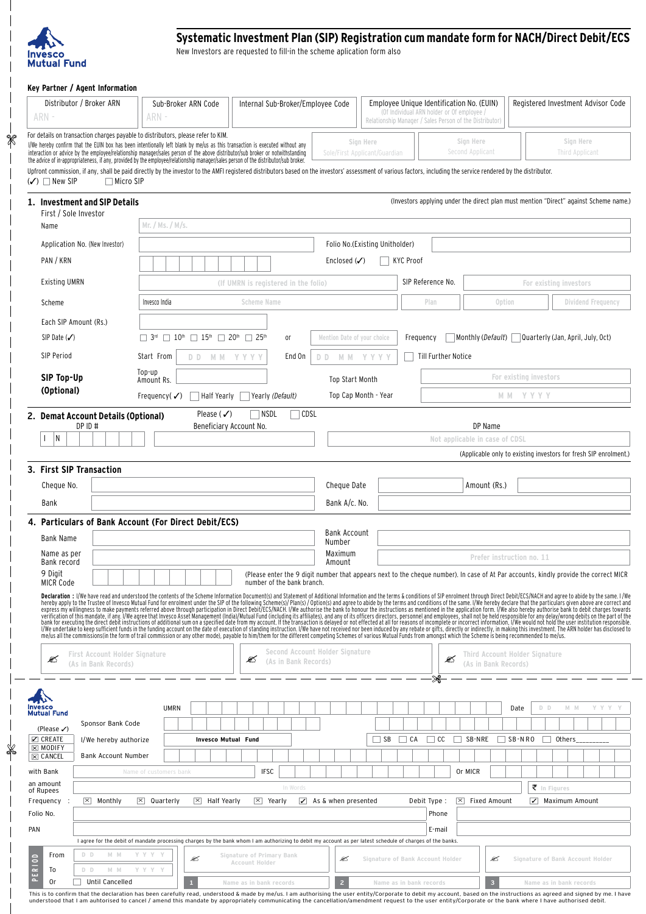

 $\overline{\phantom{a}}$ 

 $\overline{\phantom{a}}$  $\overline{\phantom{a}}$  $\overline{\phantom{a}}$  $\frac{1}{8}$ 

> $\overline{\phantom{a}}$  $\overline{\phantom{a}}$  $\overline{\phantom{a}}$

## **Systematic Investment Plan (sip) Registration cum mandate form for NACH/Direct Debit/ECS**

New Investors are requested to fill-in the scheme aplication form also

#### **Key Partner / Agent Information**

| Distributor / Broker ARN<br>ARN -                                                                                                                                                                                                                                                                                                                                                                                                                                                                                                                                                                               | Sub-Broker ARN Code<br>ARN -                                                                                                                                                                                                                                                                                                                                                                                                                                                                                                                                                                                                                                                                                                                                                                                                                                                                                                                                                                                                                                                                                                                                                                                                                                                                                                                                                                                                       | Internal Sub-Broker/Employee Code                                                                                                     |                                 |                                  | Employee Unique Identification No. (EUIN)<br>(Of Individual ARN holder or Of employee /<br>Relationship Manager / Sales Person of the Distributor) |                                                                                       |                        |                                                     | Registered Investment Advisor Code |      |
|-----------------------------------------------------------------------------------------------------------------------------------------------------------------------------------------------------------------------------------------------------------------------------------------------------------------------------------------------------------------------------------------------------------------------------------------------------------------------------------------------------------------------------------------------------------------------------------------------------------------|------------------------------------------------------------------------------------------------------------------------------------------------------------------------------------------------------------------------------------------------------------------------------------------------------------------------------------------------------------------------------------------------------------------------------------------------------------------------------------------------------------------------------------------------------------------------------------------------------------------------------------------------------------------------------------------------------------------------------------------------------------------------------------------------------------------------------------------------------------------------------------------------------------------------------------------------------------------------------------------------------------------------------------------------------------------------------------------------------------------------------------------------------------------------------------------------------------------------------------------------------------------------------------------------------------------------------------------------------------------------------------------------------------------------------------|---------------------------------------------------------------------------------------------------------------------------------------|---------------------------------|----------------------------------|----------------------------------------------------------------------------------------------------------------------------------------------------|---------------------------------------------------------------------------------------|------------------------|-----------------------------------------------------|------------------------------------|------|
| For details on transaction charges payable to distributors, please refer to KIM.<br>Sign Here<br>Sign Here<br>Sign Here<br>I/We hereby confirm that the EUIN box has been intentionally left blank by me/us as this transaction is executed without any<br>interaction or advice by the employee/relationship manager/sales person of the above distributor/sub broker or notwithstanding<br><b>Third Applicant</b><br>Second Applicant<br>Sole/First Applicant/Guardian<br>the advice of in-appropriateness, if any, provided by the employee/relationship manager/sales person of the distributor/sub broker. |                                                                                                                                                                                                                                                                                                                                                                                                                                                                                                                                                                                                                                                                                                                                                                                                                                                                                                                                                                                                                                                                                                                                                                                                                                                                                                                                                                                                                                    |                                                                                                                                       |                                 |                                  |                                                                                                                                                    |                                                                                       |                        |                                                     |                                    |      |
| Upfront commission, if any, shall be paid directly by the investor to the AMFI registered distributors based on the investors' assessment of various factors, including the service rendered by the distributor.<br>$(\checkmark)$ $\Box$ New SIP<br>$\Box$ Micro SIP                                                                                                                                                                                                                                                                                                                                           |                                                                                                                                                                                                                                                                                                                                                                                                                                                                                                                                                                                                                                                                                                                                                                                                                                                                                                                                                                                                                                                                                                                                                                                                                                                                                                                                                                                                                                    |                                                                                                                                       |                                 |                                  |                                                                                                                                                    |                                                                                       |                        |                                                     |                                    |      |
| 1. Investment and SIP Details<br>First / Sole Investor                                                                                                                                                                                                                                                                                                                                                                                                                                                                                                                                                          |                                                                                                                                                                                                                                                                                                                                                                                                                                                                                                                                                                                                                                                                                                                                                                                                                                                                                                                                                                                                                                                                                                                                                                                                                                                                                                                                                                                                                                    |                                                                                                                                       |                                 |                                  |                                                                                                                                                    | (Investors applying under the direct plan must mention "Direct" against Scheme name.) |                        |                                                     |                                    |      |
| Name                                                                                                                                                                                                                                                                                                                                                                                                                                                                                                                                                                                                            | Mr. / Ms. / M/s.                                                                                                                                                                                                                                                                                                                                                                                                                                                                                                                                                                                                                                                                                                                                                                                                                                                                                                                                                                                                                                                                                                                                                                                                                                                                                                                                                                                                                   |                                                                                                                                       |                                 |                                  |                                                                                                                                                    |                                                                                       |                        |                                                     |                                    |      |
| Application No. (New Investor)                                                                                                                                                                                                                                                                                                                                                                                                                                                                                                                                                                                  |                                                                                                                                                                                                                                                                                                                                                                                                                                                                                                                                                                                                                                                                                                                                                                                                                                                                                                                                                                                                                                                                                                                                                                                                                                                                                                                                                                                                                                    |                                                                                                                                       |                                 | Folio No.(Existing Unitholder)   |                                                                                                                                                    |                                                                                       |                        |                                                     |                                    |      |
| PAN / KRN                                                                                                                                                                                                                                                                                                                                                                                                                                                                                                                                                                                                       |                                                                                                                                                                                                                                                                                                                                                                                                                                                                                                                                                                                                                                                                                                                                                                                                                                                                                                                                                                                                                                                                                                                                                                                                                                                                                                                                                                                                                                    |                                                                                                                                       | Enclosed $(\checkmark)$         | <b>KYC Proof</b>                 |                                                                                                                                                    |                                                                                       |                        |                                                     |                                    |      |
| <b>Existing UMRN</b>                                                                                                                                                                                                                                                                                                                                                                                                                                                                                                                                                                                            |                                                                                                                                                                                                                                                                                                                                                                                                                                                                                                                                                                                                                                                                                                                                                                                                                                                                                                                                                                                                                                                                                                                                                                                                                                                                                                                                                                                                                                    | (If UMRN is registered in the folio)                                                                                                  |                                 |                                  | SIP Reference No.                                                                                                                                  |                                                                                       |                        | For existing investors                              |                                    |      |
| Scheme                                                                                                                                                                                                                                                                                                                                                                                                                                                                                                                                                                                                          | Invesco India                                                                                                                                                                                                                                                                                                                                                                                                                                                                                                                                                                                                                                                                                                                                                                                                                                                                                                                                                                                                                                                                                                                                                                                                                                                                                                                                                                                                                      | <b>Scheme Name</b>                                                                                                                    |                                 |                                  | Plan                                                                                                                                               | Option                                                                                |                        |                                                     | Dividend Frequency                 |      |
| Each SIP Amount (Rs.)                                                                                                                                                                                                                                                                                                                                                                                                                                                                                                                                                                                           |                                                                                                                                                                                                                                                                                                                                                                                                                                                                                                                                                                                                                                                                                                                                                                                                                                                                                                                                                                                                                                                                                                                                                                                                                                                                                                                                                                                                                                    |                                                                                                                                       |                                 |                                  |                                                                                                                                                    |                                                                                       |                        |                                                     |                                    |      |
| SIP Date $(\checkmark)$                                                                                                                                                                                                                                                                                                                                                                                                                                                                                                                                                                                         | $\Box$ 3rd $\Box$ 10 <sup>th</sup> $\Box$ 15 <sup>th</sup> $\Box$ 20 <sup>th</sup> $\Box$ 25 <sup>th</sup>                                                                                                                                                                                                                                                                                                                                                                                                                                                                                                                                                                                                                                                                                                                                                                                                                                                                                                                                                                                                                                                                                                                                                                                                                                                                                                                         | 0ľ                                                                                                                                    | Mention Date of your choice     |                                  | Frequency                                                                                                                                          | Monthly (Default) Quarterly (Jan, April, July, Oct)                                   |                        |                                                     |                                    |      |
| SIP Period                                                                                                                                                                                                                                                                                                                                                                                                                                                                                                                                                                                                      | Start From<br>DD MM YYYY                                                                                                                                                                                                                                                                                                                                                                                                                                                                                                                                                                                                                                                                                                                                                                                                                                                                                                                                                                                                                                                                                                                                                                                                                                                                                                                                                                                                           | End On                                                                                                                                | D D                             | MM YYYY                          | Till Further Notice                                                                                                                                |                                                                                       |                        |                                                     |                                    |      |
| SIP Top-Up                                                                                                                                                                                                                                                                                                                                                                                                                                                                                                                                                                                                      | Top-up<br>Amount Rs.                                                                                                                                                                                                                                                                                                                                                                                                                                                                                                                                                                                                                                                                                                                                                                                                                                                                                                                                                                                                                                                                                                                                                                                                                                                                                                                                                                                                               |                                                                                                                                       | <b>Top Start Month</b>          |                                  |                                                                                                                                                    |                                                                                       | For existing investors |                                                     |                                    |      |
| (Optional)                                                                                                                                                                                                                                                                                                                                                                                                                                                                                                                                                                                                      | Half Yearly<br>Frequency( $\checkmark$ )                                                                                                                                                                                                                                                                                                                                                                                                                                                                                                                                                                                                                                                                                                                                                                                                                                                                                                                                                                                                                                                                                                                                                                                                                                                                                                                                                                                           | Yearly (Default)                                                                                                                      |                                 | Top Cap Month - Year             |                                                                                                                                                    | M M                                                                                   | YYYY                   |                                                     |                                    |      |
| 2. Demat Account Details (Optional)<br>DP ID #                                                                                                                                                                                                                                                                                                                                                                                                                                                                                                                                                                  | Please $(\checkmark)$<br>Beneficiary Account No.                                                                                                                                                                                                                                                                                                                                                                                                                                                                                                                                                                                                                                                                                                                                                                                                                                                                                                                                                                                                                                                                                                                                                                                                                                                                                                                                                                                   | NSDL<br>$\sqcap$ CDSL                                                                                                                 |                                 |                                  |                                                                                                                                                    | DP Name                                                                               |                        |                                                     |                                    |      |
| N                                                                                                                                                                                                                                                                                                                                                                                                                                                                                                                                                                                                               |                                                                                                                                                                                                                                                                                                                                                                                                                                                                                                                                                                                                                                                                                                                                                                                                                                                                                                                                                                                                                                                                                                                                                                                                                                                                                                                                                                                                                                    |                                                                                                                                       |                                 |                                  |                                                                                                                                                    | Not applicable in case of CDSL                                                        |                        |                                                     |                                    |      |
|                                                                                                                                                                                                                                                                                                                                                                                                                                                                                                                                                                                                                 |                                                                                                                                                                                                                                                                                                                                                                                                                                                                                                                                                                                                                                                                                                                                                                                                                                                                                                                                                                                                                                                                                                                                                                                                                                                                                                                                                                                                                                    |                                                                                                                                       |                                 |                                  |                                                                                                                                                    | (Applicable only to existing investors for fresh SIP enrolment.)                      |                        |                                                     |                                    |      |
| 3. First SIP Transaction                                                                                                                                                                                                                                                                                                                                                                                                                                                                                                                                                                                        |                                                                                                                                                                                                                                                                                                                                                                                                                                                                                                                                                                                                                                                                                                                                                                                                                                                                                                                                                                                                                                                                                                                                                                                                                                                                                                                                                                                                                                    |                                                                                                                                       |                                 |                                  |                                                                                                                                                    |                                                                                       |                        |                                                     |                                    |      |
| Cheque No.                                                                                                                                                                                                                                                                                                                                                                                                                                                                                                                                                                                                      |                                                                                                                                                                                                                                                                                                                                                                                                                                                                                                                                                                                                                                                                                                                                                                                                                                                                                                                                                                                                                                                                                                                                                                                                                                                                                                                                                                                                                                    |                                                                                                                                       | Cheque Date                     |                                  |                                                                                                                                                    | Amount (Rs.)                                                                          |                        |                                                     |                                    |      |
| Bank                                                                                                                                                                                                                                                                                                                                                                                                                                                                                                                                                                                                            |                                                                                                                                                                                                                                                                                                                                                                                                                                                                                                                                                                                                                                                                                                                                                                                                                                                                                                                                                                                                                                                                                                                                                                                                                                                                                                                                                                                                                                    |                                                                                                                                       | Bank A/c. No.                   |                                  |                                                                                                                                                    |                                                                                       |                        |                                                     |                                    |      |
| 4. Particulars of Bank Account (For Direct Debit/ECS)                                                                                                                                                                                                                                                                                                                                                                                                                                                                                                                                                           |                                                                                                                                                                                                                                                                                                                                                                                                                                                                                                                                                                                                                                                                                                                                                                                                                                                                                                                                                                                                                                                                                                                                                                                                                                                                                                                                                                                                                                    |                                                                                                                                       |                                 |                                  |                                                                                                                                                    |                                                                                       |                        |                                                     |                                    |      |
| <b>Bank Name</b>                                                                                                                                                                                                                                                                                                                                                                                                                                                                                                                                                                                                |                                                                                                                                                                                                                                                                                                                                                                                                                                                                                                                                                                                                                                                                                                                                                                                                                                                                                                                                                                                                                                                                                                                                                                                                                                                                                                                                                                                                                                    |                                                                                                                                       | Bank Account<br>Number          |                                  |                                                                                                                                                    |                                                                                       |                        |                                                     |                                    |      |
| Name as per<br>Bank record                                                                                                                                                                                                                                                                                                                                                                                                                                                                                                                                                                                      |                                                                                                                                                                                                                                                                                                                                                                                                                                                                                                                                                                                                                                                                                                                                                                                                                                                                                                                                                                                                                                                                                                                                                                                                                                                                                                                                                                                                                                    |                                                                                                                                       | Maximum<br>Amount               |                                  |                                                                                                                                                    | Prefer instruction no. 11                                                             |                        |                                                     |                                    |      |
| 9 Digit<br><b>MICR Code</b>                                                                                                                                                                                                                                                                                                                                                                                                                                                                                                                                                                                     |                                                                                                                                                                                                                                                                                                                                                                                                                                                                                                                                                                                                                                                                                                                                                                                                                                                                                                                                                                                                                                                                                                                                                                                                                                                                                                                                                                                                                                    | (Please enter the 9 digit number that appears next to the cheque number). In case of At Par accounts, kindly provide the correct MICR |                                 |                                  |                                                                                                                                                    |                                                                                       |                        |                                                     |                                    |      |
|                                                                                                                                                                                                                                                                                                                                                                                                                                                                                                                                                                                                                 | number of the bank branch.<br>Declaration: I/We have read and understood the contents of the Scheme Information Document(s) and Statement of Additional Information and the terms & conditions of SIP enrolment through Direct Debit/ECS/NACH and agree to a<br>hereby apply to the Trustee of Invesco Mutual Fund for enrolment under the SIP of the following Scheme(s)/Plan(s) / Option(s) and agree to abide by the terms and conditions of the same. I/We hereby declare that the particu<br>express my willingness to make payments referred above through participation in Direct Debit/ECS/NACH. I/We authorise the bank to honour the instructions as mentioned in the application form. I/We also hereby authorise ban<br>verification of this mandate, if any 1/We agree that Invesco Asset Management (India)/Mutual Fund (including its affiliates), and any of its officers directors, personnel and employees, shall not be held responsible for an<br>I/We undertake to keep sufficient funds in the funding account on the date of execution of standing instruction. I/We have not received nor been induced by any rebate or gifts, directly or indirectly, in making this invest<br>me/us all the commissions(in the form of trail commission or any other mode), payable to him/them for the different competing Schemes of various Mutual Funds from amongst which the Scheme is being recommended to me/us. |                                                                                                                                       |                                 |                                  |                                                                                                                                                    |                                                                                       |                        |                                                     |                                    |      |
| <b>First Account Holder Signature</b><br>Ø<br>(As in Bank Records)                                                                                                                                                                                                                                                                                                                                                                                                                                                                                                                                              |                                                                                                                                                                                                                                                                                                                                                                                                                                                                                                                                                                                                                                                                                                                                                                                                                                                                                                                                                                                                                                                                                                                                                                                                                                                                                                                                                                                                                                    | ≤<br>(As in Bank Records)                                                                                                             | Second Account Holder Signature |                                  | Ø                                                                                                                                                  | Third Account Holder Signature<br>(As in Bank Records)                                |                        |                                                     |                                    |      |
|                                                                                                                                                                                                                                                                                                                                                                                                                                                                                                                                                                                                                 |                                                                                                                                                                                                                                                                                                                                                                                                                                                                                                                                                                                                                                                                                                                                                                                                                                                                                                                                                                                                                                                                                                                                                                                                                                                                                                                                                                                                                                    |                                                                                                                                       |                                 |                                  |                                                                                                                                                    |                                                                                       |                        |                                                     |                                    |      |
| Mutual Fund                                                                                                                                                                                                                                                                                                                                                                                                                                                                                                                                                                                                     | <b>UMRN</b>                                                                                                                                                                                                                                                                                                                                                                                                                                                                                                                                                                                                                                                                                                                                                                                                                                                                                                                                                                                                                                                                                                                                                                                                                                                                                                                                                                                                                        |                                                                                                                                       |                                 |                                  |                                                                                                                                                    |                                                                                       | Date                   | D D                                                 | M M                                | YYYY |
| Sponsor Bank Code<br>(Please $\checkmark$ )                                                                                                                                                                                                                                                                                                                                                                                                                                                                                                                                                                     |                                                                                                                                                                                                                                                                                                                                                                                                                                                                                                                                                                                                                                                                                                                                                                                                                                                                                                                                                                                                                                                                                                                                                                                                                                                                                                                                                                                                                                    |                                                                                                                                       |                                 |                                  |                                                                                                                                                    |                                                                                       |                        |                                                     |                                    |      |
| $\boxdot$ CREATE<br>I/We hereby authorize<br>$\boxtimes$ MODIFY                                                                                                                                                                                                                                                                                                                                                                                                                                                                                                                                                 | <b>Invesco Mutual Fund</b>                                                                                                                                                                                                                                                                                                                                                                                                                                                                                                                                                                                                                                                                                                                                                                                                                                                                                                                                                                                                                                                                                                                                                                                                                                                                                                                                                                                                         |                                                                                                                                       |                                 | $\Box$ SB<br>$\Box$ CA           | $\Box$ CC $\Box$ SB-NRE                                                                                                                            |                                                                                       | $\Box$ SB-NRO          | $\Box$ Others                                       |                                    |      |
| <b>Bank Account Number</b><br>$\boxtimes$ CANCEL                                                                                                                                                                                                                                                                                                                                                                                                                                                                                                                                                                |                                                                                                                                                                                                                                                                                                                                                                                                                                                                                                                                                                                                                                                                                                                                                                                                                                                                                                                                                                                                                                                                                                                                                                                                                                                                                                                                                                                                                                    |                                                                                                                                       |                                 |                                  |                                                                                                                                                    |                                                                                       |                        |                                                     |                                    |      |
| with Bank<br>an amount                                                                                                                                                                                                                                                                                                                                                                                                                                                                                                                                                                                          | Name of customers bank                                                                                                                                                                                                                                                                                                                                                                                                                                                                                                                                                                                                                                                                                                                                                                                                                                                                                                                                                                                                                                                                                                                                                                                                                                                                                                                                                                                                             | <b>IFSC</b>                                                                                                                           |                                 |                                  |                                                                                                                                                    | Or MICR                                                                               |                        |                                                     |                                    |      |
| of Rupees<br>$\times$ Monthly                                                                                                                                                                                                                                                                                                                                                                                                                                                                                                                                                                                   | $\vert x \vert$ Quarterly<br>$\vert x \vert$ Half Yearly                                                                                                                                                                                                                                                                                                                                                                                                                                                                                                                                                                                                                                                                                                                                                                                                                                                                                                                                                                                                                                                                                                                                                                                                                                                                                                                                                                           | In Words<br>$ \times $ Yearly                                                                                                         | $\angle$ As & when presented    |                                  | Debit Type :                                                                                                                                       | $\vert x \vert$ Fixed Amount                                                          |                        | $\bar{\tau}$ In Figures<br>$\sqrt{}$ Maximum Amount |                                    |      |
| Frequency :<br>Folio No.                                                                                                                                                                                                                                                                                                                                                                                                                                                                                                                                                                                        |                                                                                                                                                                                                                                                                                                                                                                                                                                                                                                                                                                                                                                                                                                                                                                                                                                                                                                                                                                                                                                                                                                                                                                                                                                                                                                                                                                                                                                    |                                                                                                                                       |                                 |                                  | Phone                                                                                                                                              |                                                                                       |                        |                                                     |                                    |      |
| PAN                                                                                                                                                                                                                                                                                                                                                                                                                                                                                                                                                                                                             |                                                                                                                                                                                                                                                                                                                                                                                                                                                                                                                                                                                                                                                                                                                                                                                                                                                                                                                                                                                                                                                                                                                                                                                                                                                                                                                                                                                                                                    |                                                                                                                                       |                                 |                                  | E-mail                                                                                                                                             |                                                                                       |                        |                                                     |                                    |      |
| D D<br>M M<br>From                                                                                                                                                                                                                                                                                                                                                                                                                                                                                                                                                                                              | I agree for the debit of mandate processing charges by the bank whom I am authorizing to debit my account as per latest schedule of charges of the banks.<br>Y Y Y<br>ø                                                                                                                                                                                                                                                                                                                                                                                                                                                                                                                                                                                                                                                                                                                                                                                                                                                                                                                                                                                                                                                                                                                                                                                                                                                            | Signature of Primary Bank                                                                                                             | Ø                               | Signature of Bank Account Holder |                                                                                                                                                    | ≤                                                                                     |                        |                                                     | Signature of Bank Account Holder   |      |
| ERIOD<br>To<br>D D<br>M M                                                                                                                                                                                                                                                                                                                                                                                                                                                                                                                                                                                       | Y Y Y Y                                                                                                                                                                                                                                                                                                                                                                                                                                                                                                                                                                                                                                                                                                                                                                                                                                                                                                                                                                                                                                                                                                                                                                                                                                                                                                                                                                                                                            | Account Holder                                                                                                                        |                                 |                                  |                                                                                                                                                    |                                                                                       |                        |                                                     |                                    |      |
| $\sim$<br>0r<br>Until Cancelled                                                                                                                                                                                                                                                                                                                                                                                                                                                                                                                                                                                 | This is to confirm that the declaration has been carefully read, understood & made by me/us Lam authorising the user entity/Corporate to debit my account, based on the instructions as agreed and signed by me, I have                                                                                                                                                                                                                                                                                                                                                                                                                                                                                                                                                                                                                                                                                                                                                                                                                                                                                                                                                                                                                                                                                                                                                                                                            | Name as in bank records                                                                                                               | $\overline{z}$                  | Name as in bank records          |                                                                                                                                                    | 3                                                                                     |                        | Name as in bank records                             |                                    |      |

This is to confirm that the declaration has been carefully read, understood & made by me/us. I am authorising the user entity/Corporate to debit my account, based on the instructions as agreed and signed by me. I have<br>unde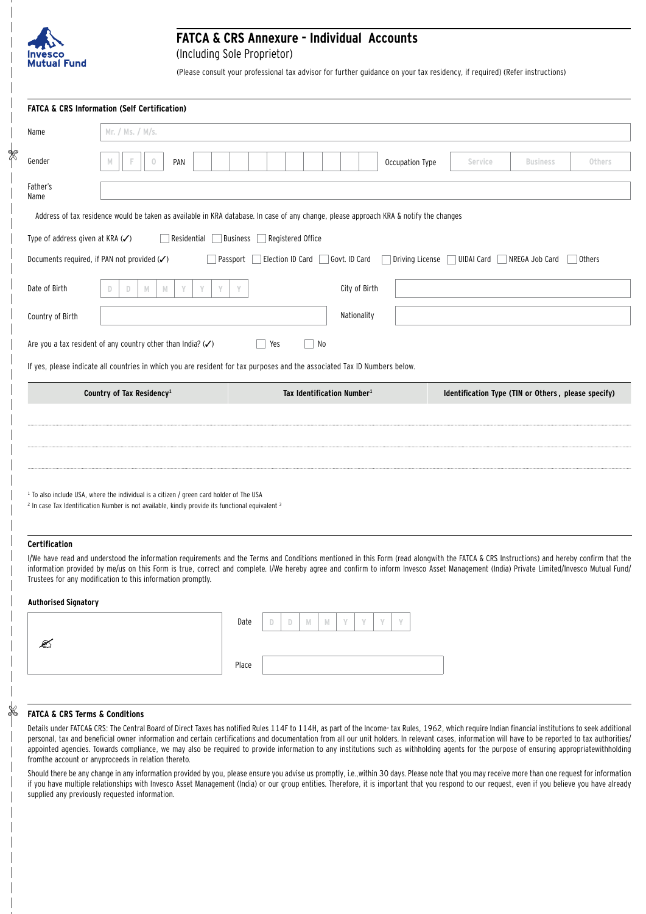

\$

# **FATCA & CRS Annexure - Individual Accounts**

(Including Sole Proprietor)

(Please consult your professional tax advisor for further guidance on your tax residency, if required) (Refer instructions)

|                                  | <b>FATCA &amp; CRS Information (Self Certification)</b>                                                                                                                                                                                                                                                                                                                                                                                            |                                      |                                        |                                                     |                 |               |
|----------------------------------|----------------------------------------------------------------------------------------------------------------------------------------------------------------------------------------------------------------------------------------------------------------------------------------------------------------------------------------------------------------------------------------------------------------------------------------------------|--------------------------------------|----------------------------------------|-----------------------------------------------------|-----------------|---------------|
| Name                             | Mr. / Ms. / M/s.                                                                                                                                                                                                                                                                                                                                                                                                                                   |                                      |                                        |                                                     |                 |               |
| Gender                           | $\circ$<br>PAN<br>M                                                                                                                                                                                                                                                                                                                                                                                                                                |                                      | Occupation Type                        | Service                                             | <b>Business</b> | Others        |
| Father's<br>Name                 |                                                                                                                                                                                                                                                                                                                                                                                                                                                    |                                      |                                        |                                                     |                 |               |
|                                  | Address of tax residence would be taken as available in KRA database. In case of any change, please approach KRA & notify the changes                                                                                                                                                                                                                                                                                                              |                                      |                                        |                                                     |                 |               |
| Type of address given at KRA (✔) | Residential                                                                                                                                                                                                                                                                                                                                                                                                                                        | Registered Office<br><b>Business</b> |                                        |                                                     |                 |               |
|                                  | Documents required, if PAN not provided (V)                                                                                                                                                                                                                                                                                                                                                                                                        | Election ID Card<br>Passport         | Govt. ID Card                          | Driving License □ UIDAI Card                        | NREGA Job Card  | <b>Others</b> |
| Date of Birth                    | $\mathbb N$<br>Y<br>Y<br>Y<br>D<br>M<br>D                                                                                                                                                                                                                                                                                                                                                                                                          | Y                                    | City of Birth                          |                                                     |                 |               |
| Country of Birth                 |                                                                                                                                                                                                                                                                                                                                                                                                                                                    |                                      | Nationality                            |                                                     |                 |               |
|                                  | Are you a tax resident of any country other than India? $(\checkmark)$                                                                                                                                                                                                                                                                                                                                                                             | Yes<br>No                            |                                        |                                                     |                 |               |
|                                  | If yes, please indicate all countries in which you are resident for tax purposes and the associated Tax ID Numbers below.                                                                                                                                                                                                                                                                                                                          |                                      |                                        |                                                     |                 |               |
|                                  | Country of Tax Residency <sup>1</sup>                                                                                                                                                                                                                                                                                                                                                                                                              |                                      | Tax Identification Number <sup>1</sup> | Identification Type (TIN or Others, please specify) |                 |               |
|                                  |                                                                                                                                                                                                                                                                                                                                                                                                                                                    |                                      |                                        |                                                     |                 |               |
|                                  |                                                                                                                                                                                                                                                                                                                                                                                                                                                    |                                      |                                        |                                                     |                 |               |
|                                  |                                                                                                                                                                                                                                                                                                                                                                                                                                                    |                                      |                                        |                                                     |                 |               |
|                                  | <sup>1</sup> To also include USA, where the individual is a citizen / green card holder of The USA<br><sup>2</sup> In case Tax Identification Number is not available, kindly provide its functional equivalent <sup>3</sup>                                                                                                                                                                                                                       |                                      |                                        |                                                     |                 |               |
| <b>Certification</b>             |                                                                                                                                                                                                                                                                                                                                                                                                                                                    |                                      |                                        |                                                     |                 |               |
|                                  | I/We have read and understood the information requirements and the Terms and Conditions mentioned in this Form (read alongwith the FATCA & CRS Instructions) and hereby confirm that the<br>information provided by me/us on this Form is true, correct and complete. I/We hereby agree and confirm to inform Invesco Asset Management (India) Private Limited/Invesco Mutual Fund/<br>Trustees for any modification to this information promptly. |                                      |                                        |                                                     |                 |               |
|                                  |                                                                                                                                                                                                                                                                                                                                                                                                                                                    |                                      |                                        |                                                     |                 |               |

#### **Authorised Signatory**

X,

|  | Date  | D | D | $\mathbb N$ | M | $\sqrt{ }$ | 3.0 | $\mathcal{R}$ | $\mathcal{M}$ |  |
|--|-------|---|---|-------------|---|------------|-----|---------------|---------------|--|
|  |       |   |   |             |   |            |     |               |               |  |
|  | Place |   |   |             |   |            |     |               |               |  |

#### **FATCA & CRS Terms & Conditions**

Details under FATCA& CRS: The Central Board of Direct Taxes has notified Rules 114F to 114H, as part of the Income- tax Rules, 1962, which require Indian financial institutions to seek additional personal, tax and beneficial owner information and certain certifications and documentation from all our unit holders. In relevant cases, information will have to be reported to tax authorities/ appointed agencies. Towards compliance, we may also be required to provide information to any institutions such as withholding agents for the purpose of ensuring appropriatewithholding fromthe account or anyproceeds in relation thereto.

Should there be any change in any information provided by you, please ensure you advise us promptly, i.e.,within 30 days. Please note that you may receive more than one request for information if you have multiple relationships with Invesco Asset Management (India) or our group entities. Therefore, it is important that you respond to our request, even if you believe you have already supplied any previously requested information.